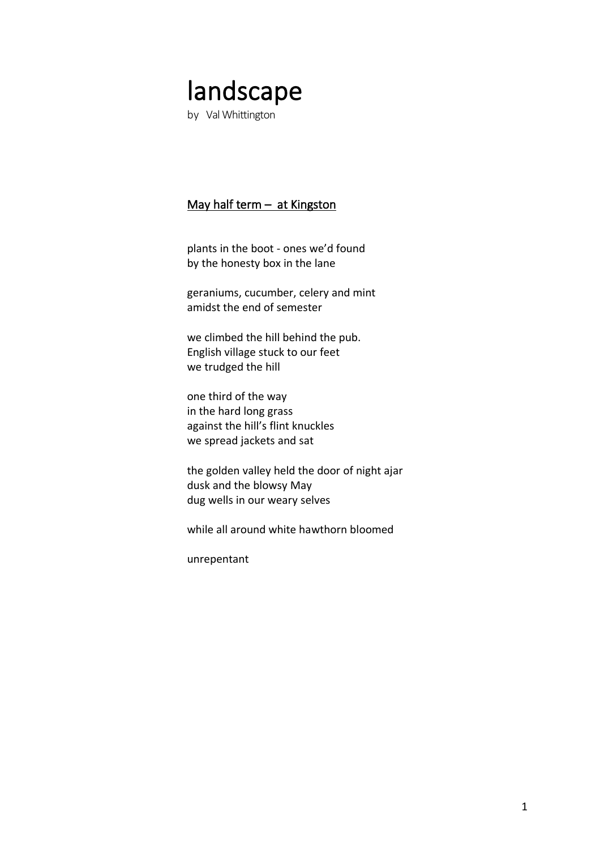# landscape

by Val Whittington

# May half term – at Kingston

plants in the boot - ones we'd found by the honesty box in the lane

geraniums, cucumber, celery and mint amidst the end of semester

we climbed the hill behind the pub. English village stuck to our feet we trudged the hill

one third of the way in the hard long grass against the hill's flint knuckles we spread jackets and sat

the golden valley held the door of night ajar dusk and the blowsy May dug wells in our weary selves

while all around white hawthorn bloomed

unrepentant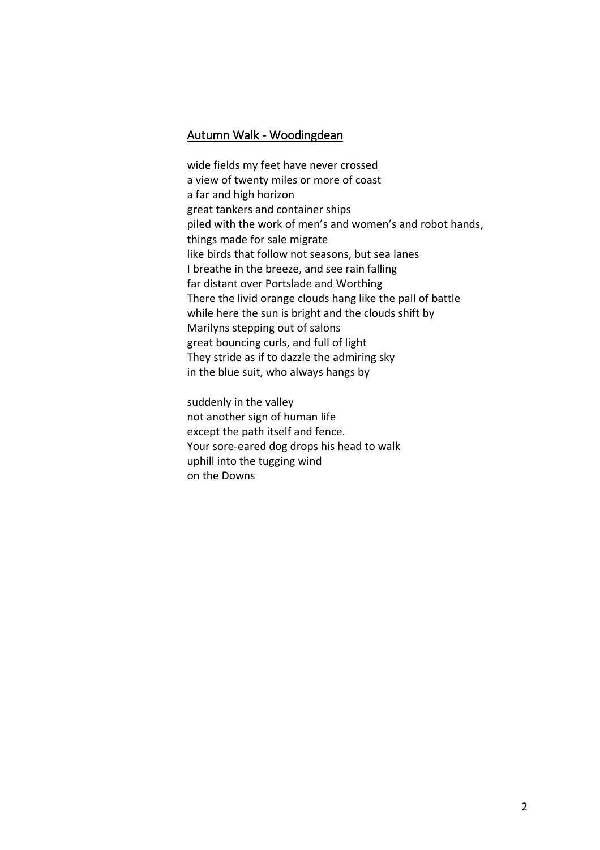#### Autumn Walk - Woodingdean

wide fields my feet have never crossed a view of twenty miles or more of coast a far and high horizon great tankers and container ships piled with the work of men's and women's and robot hands, things made for sale migrate like birds that follow not seasons, but sea lanes I breathe in the breeze, and see rain falling far distant over Portslade and Worthing There the livid orange clouds hang like the pall of battle while here the sun is bright and the clouds shift by Marilyns stepping out of salons great bouncing curls, and full of light They stride as if to dazzle the admiring sky in the blue suit, who always hangs by

suddenly in the valley not another sign of human life except the path itself and fence. Your sore-eared dog drops his head to walk uphill into the tugging wind on the Downs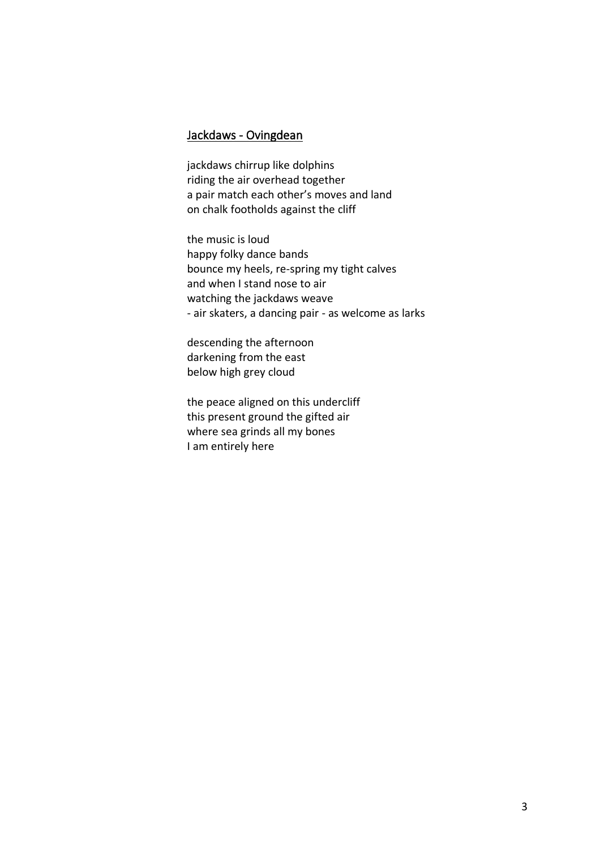# Jackdaws - Ovingdean

jackdaws chirrup like dolphins riding the air overhead together a pair match each other's moves and land on chalk footholds against the cliff

the music is loud happy folky dance bands bounce my heels, re-spring my tight calves and when I stand nose to air watching the jackdaws weave - air skaters, a dancing pair - as welcome as larks

descending the afternoon darkening from the east below high grey cloud

the peace aligned on this undercliff this present ground the gifted air where sea grinds all my bones I am entirely here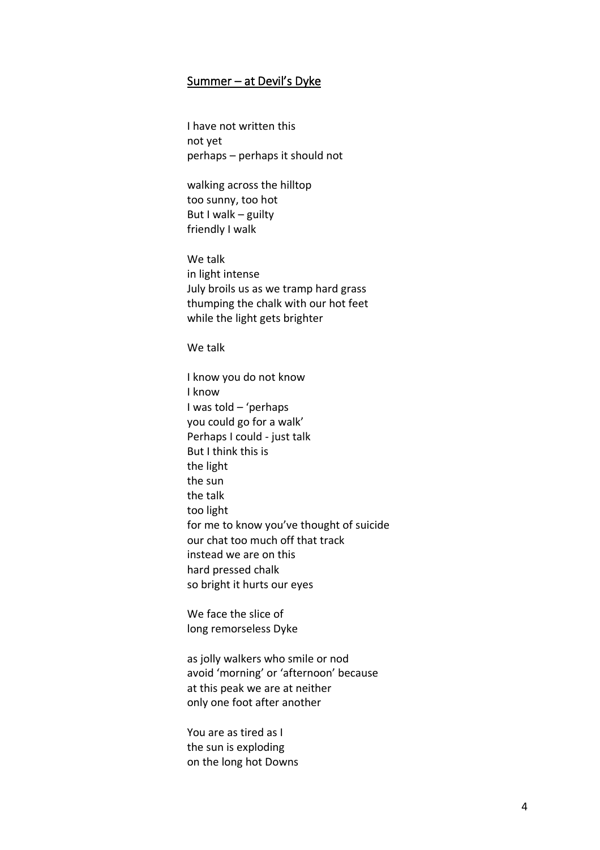### Summer – at Devil's Dyke

I have not written this not yet perhaps – perhaps it should not

walking across the hilltop too sunny, too hot But I walk – guilty friendly I walk

We talk in light intense July broils us as we tramp hard grass thumping the chalk with our hot feet while the light gets brighter

We talk

I know you do not know I know I was told – 'perhaps you could go for a walk' Perhaps I could - just talk But I think this is the light the sun the talk too light for me to know you've thought of suicide our chat too much off that track instead we are on this hard pressed chalk so bright it hurts our eyes

We face the slice of long remorseless Dyke

as jolly walkers who smile or nod avoid 'morning' or 'afternoon' because at this peak we are at neither only one foot after another

You are as tired as I the sun is exploding on the long hot Downs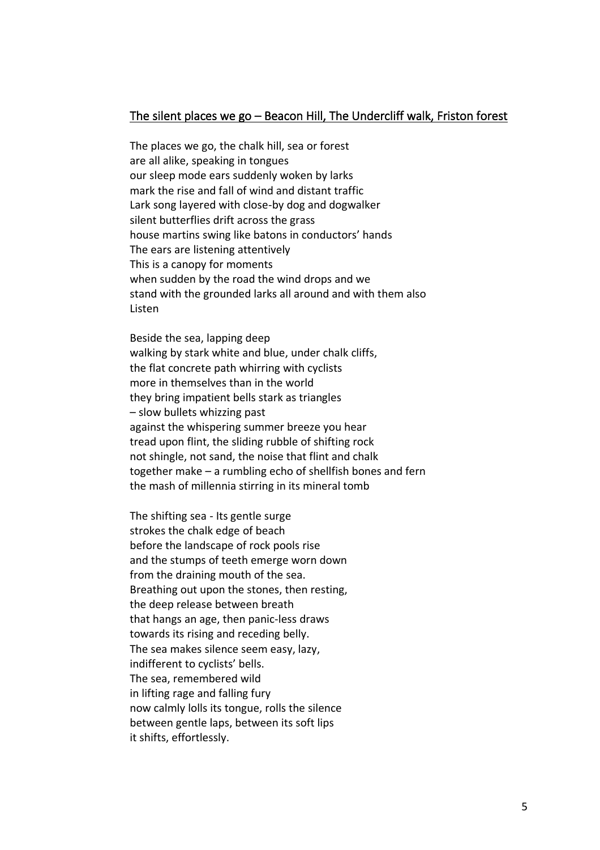#### The silent places we go – Beacon Hill, The Undercliff walk, Friston forest

The places we go, the chalk hill, sea or forest are all alike, speaking in tongues our sleep mode ears suddenly woken by larks mark the rise and fall of wind and distant traffic Lark song layered with close-by dog and dogwalker silent butterflies drift across the grass house martins swing like batons in conductors' hands The ears are listening attentively This is a canopy for moments when sudden by the road the wind drops and we stand with the grounded larks all around and with them also Listen

Beside the sea, lapping deep walking by stark white and blue, under chalk cliffs, the flat concrete path whirring with cyclists more in themselves than in the world they bring impatient bells stark as triangles – slow bullets whizzing past against the whispering summer breeze you hear tread upon flint, the sliding rubble of shifting rock not shingle, not sand, the noise that flint and chalk together make – a rumbling echo of shellfish bones and fern the mash of millennia stirring in its mineral tomb

The shifting sea - Its gentle surge strokes the chalk edge of beach before the landscape of rock pools rise and the stumps of teeth emerge worn down from the draining mouth of the sea. Breathing out upon the stones, then resting, the deep release between breath that hangs an age, then panic-less draws towards its rising and receding belly. The sea makes silence seem easy, lazy, indifferent to cyclists' bells. The sea, remembered wild in lifting rage and falling fury now calmly lolls its tongue, rolls the silence between gentle laps, between its soft lips it shifts, effortlessly.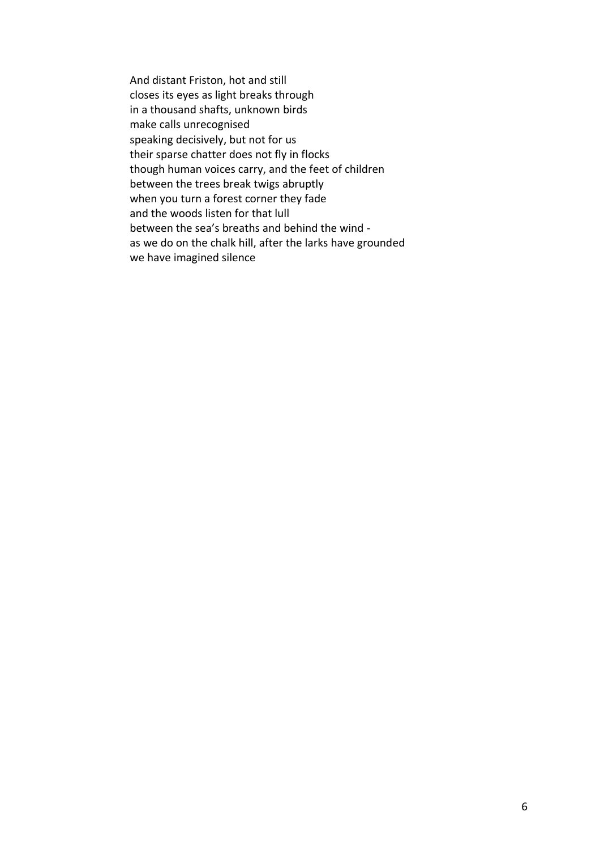And distant Friston, hot and still closes its eyes as light breaks through in a thousand shafts, unknown birds make calls unrecognised speaking decisively, but not for us their sparse chatter does not fly in flocks though human voices carry, and the feet of children between the trees break twigs abruptly when you turn a forest corner they fade and the woods listen for that lull between the sea's breaths and behind the wind as we do on the chalk hill, after the larks have grounded we have imagined silence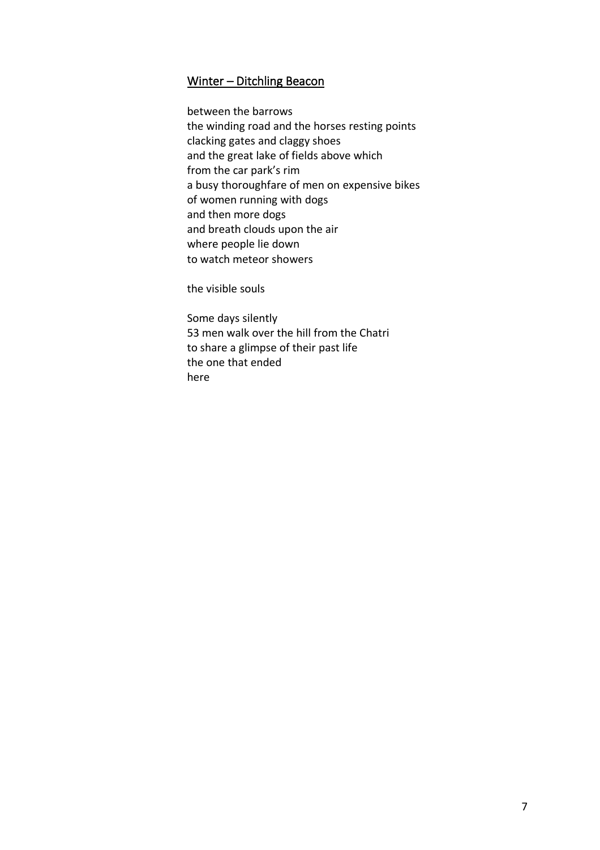## Winter – Ditchling Beacon

between the barrows the winding road and the horses resting points clacking gates and claggy shoes and the great lake of fields above which from the car park's rim a busy thoroughfare of men on expensive bikes of women running with dogs and then more dogs and breath clouds upon the air where people lie down to watch meteor showers

the visible souls

Some days silently 53 men walk over the hill from the Chatri to share a glimpse of their past life the one that ended here